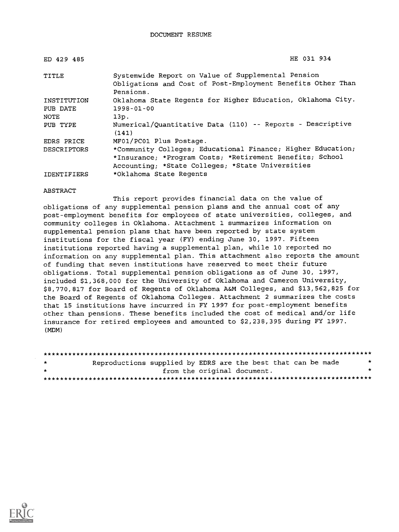DOCUMENT RESUME

| ED 429 485         | HE 031 934                                                                                                                     |
|--------------------|--------------------------------------------------------------------------------------------------------------------------------|
| TITLE              | Systemwide Report on Value of Supplemental Pension<br>Obligations and Cost of Post-Employment Benefits Other Than<br>Pensions. |
| INSTITUTION        | Oklahoma State Regents for Higher Education, Oklahoma City.                                                                    |
| PUB DATE           | $1998 - 01 - 00$                                                                                                               |
| NOTE               | 13p.                                                                                                                           |
| PUB TYPE           | Numerical/Quantitative Data (110) -- Reports - Descriptive<br>(141)                                                            |
| EDRS PRICE         | MF01/PC01 Plus Postage.                                                                                                        |
| <b>DESCRIPTORS</b> | *Community Colleges; Educational Finance; Higher Education;                                                                    |
|                    | *Insurance; *Program Costs; *Retirement Benefits; School                                                                       |
|                    | Accounting; *State Colleges; *State Universities                                                                               |
| IDENTIFIERS        | *Oklahoma State Regents                                                                                                        |

#### ABSTRACT

This report provides financial data on the value of obligations of any supplemental pension plans and the annual cost of any post-employment benefits for employees of state universities, colleges, and community colleges in Oklahoma. Attachment 1 summarizes information on supplemental pension plans that have been reported by state system institutions for the fiscal year (FY) ending June 30, 1997. Fifteen institutions reported having a supplemental plan, while 10 reported no information on any supplemental plan. This attachment also reports the amount of funding that seven institutions have reserved to meet their future obligations. Total supplemental pension obligations as of June 30, 1997, included \$1,368,000 for the University of Oklahoma and Cameron University, \$8,770,817 for Board of Regents of Oklahoma A&M Colleges, and \$13,562,825 for the Board of Regents of Oklahoma Colleges. Attachment 2 summarizes the costs that 15 institutions have incurred in FY 1997 for post-employment benefits other than pensions. These benefits included the cost of medical and/or life insurance for retired employees and amounted to \$2,238,395 during FY 1997. (MDM)

| $\mathbf{r}$ | Reproductions supplied by EDRS are the best that can be made |                             |  |  |  |
|--------------|--------------------------------------------------------------|-----------------------------|--|--|--|
| $\mathbf{r}$ |                                                              | from the original document. |  |  |  |
|              |                                                              |                             |  |  |  |

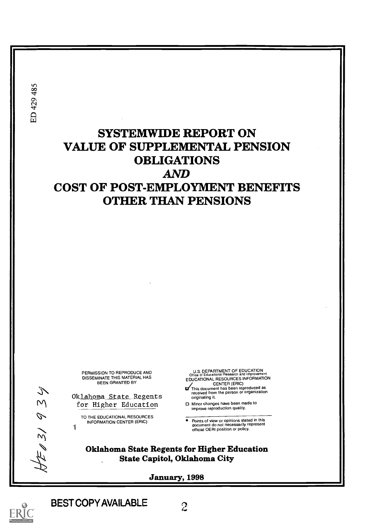ED 429 485

# SYSTEMWIDE REPORT ON VALUE OF SUPPLEMENTAL PENSION OBLIGATIONS AND COST OF POST-EMPLOYMENT BENEFITS OTHER THAN PENSIONS

PERMISSION TO REPRODUCE AND DISSEMINATE THIS MATERIAL HAS BEEN GRANTED BY

S<br>
Ok<u>lahoma State Regents</u><br>
M for Higher Education for Higher Education

> TO THE EDUCATIONAL RESOURCES INFORMATION CENTER (ERIC)

U S. DEPARTMENT OF EDUCATION Office of Educational Research and Improvement EDUCATIONAL RESOURCES INFORMATION

CENTER (ERIC)<br>This document has been reproduced as<br>received from the person or organization originating it.

0 Minor changes have been made to improve reproduction quality.

Points of view or opinions stated in this<br>document do not necessarily represent<br>official OERI position or policy.

Oklahoma State Regents for Higher Education State Capitol, Oklahoma City

January, 1998



 $5/$ 

 $\mathscr{P}$ 

BESTCOPY AVAILABLE

 $\mathbf{I}$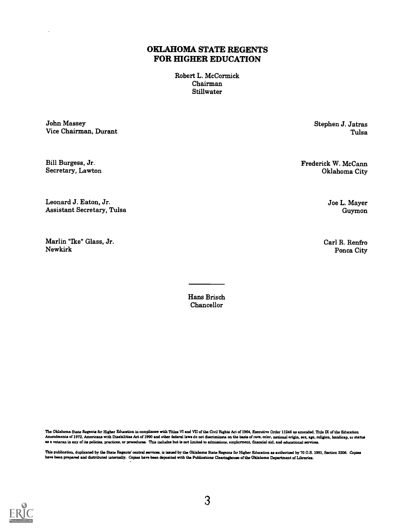#### OKLAHOMA STATE REGENTS FOR HIGHER EDUCATION

Robert L. McCormick Chairman Stillwater

John Massey Stephen J. Jatras Vice Chairman, Durant

Secretary, Lawton

Leonard J. Eaton, Jr. Assistant Secretary, Tulsa

Marlin "Ike" Glass, Jr. Newkirk

Bill Burgess, Jr. Frederick W. McCann Secretary, Lawton Channel City (1999) and Secretary, Lawton City (1999) and Secretary, Lawton City (1999) and Secretary (1999) and Secretary, Lawton (1999) and Secretary (1999) and Sec

Joe L. Mayer Guymon

Carl R. Renfro Ponca City

The Oklahoma State Regents for Higher Education in compliance with Titles VI and VII of the Civil Rights Act of 1964, Executive Order 11246 as amended, Title IX of the Education Amendments of 1972, Americans with Disabilities Act of 1990 and other federal laws do not discriminate on the basis of race, color, national origin, sex, age, religion, handicap, or status as a veteran in any of its policies, practices, or procedures. This includes but is not limited to admissions, employment, financial aid, and educational services.

This publication, duplicated by the State Regents' central services, is issued by the Oklahoma State Regents far Higher Education as authorized by 70 0.8. 1991, Section 3206. Copies have been prepared and distributed internally. Copies hsve been deposited with the Publications Clearinghouse of the Oklahoma Deurtment of Libraries.



Hans Brisch Chancellor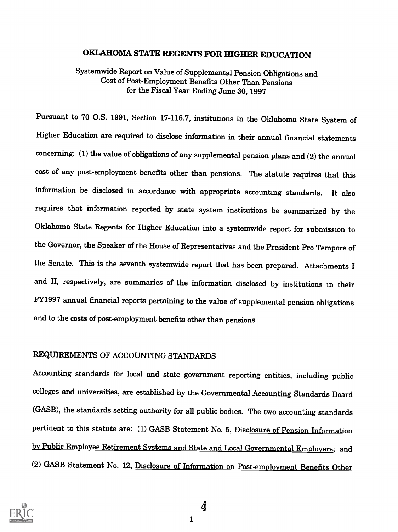#### OKLAHOMA STATE REGENTS FOR HIGHER EDUCATION

Systemwide Report on Value of Supplemental Pension Obligations and Cost of Post-Employment Benefits Other Than Pensions for the Fiscal Year Ending June 30, 1997

Pursuant to 70 0.S. 1991, Section 17-116.7, institutions in the Oklahoma State System of Higher Education are required to disclose information in their annual financial statements concerning: (1) the value of obligations of any supplemental pension plans and (2) the annual cost of any post-employment benefits other than pensions. The statute requires that this information be disclosed in accordance with appropriate accounting standards. It also requires that information reported by state system institutions be summarized by the Oklahoma State Regents for Higher Education into a systemwide report for submission to the Governor, the Speaker of the House of Representatives and the President Pro Tempore of the Senate. This is the seventh systemwide report that has been prepared. Attachments I and II, respectively, are summaries of the information disclosed by institutions in their FY1997 annual financial reports pertaining to the value of supplemental pension obligations and to the costs of post-employment benefits other than pensions.

#### REQUIREMENTS OF ACCOUNTING STANDARDS

Accounting standards for local and state government reporting entities, including public colleges and universities, are established by the Governmental Accounting Standards Board (GASB), the standards setting authority for all public bodies. The two accounting standards pertinent to this statute are: (1) GASB Statement No. 5, Disclosure of Pension Information bv Public Employee Retirement Systems and State and Local Governmental Employers; and (2) GASB Statement No. 12, Disclosure of Information on Post-emplovment Benefits Other



<sup>1</sup>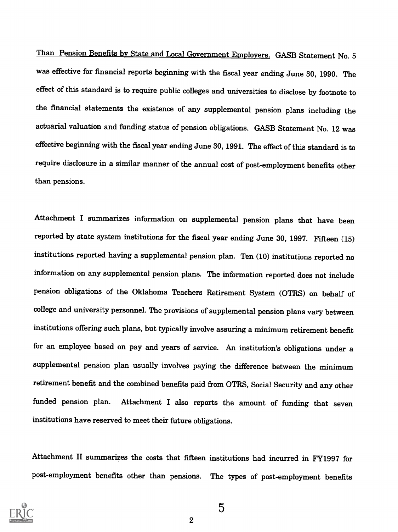Than Pension Benefits by State and Local Government Employers. GASB Statement No. 5 was effective for financial reports beginning with the fiscal year ending June 30, 1990. The effect of this standard is to require public colleges and universities to disclose by footnote to the financial statements the existence of any supplemental pension plans including the actuarial valuation and funding status of pension obligations. GASB Statement No. 12 was effective beginning with the fiscal year ending June 30, 1991. The effect of this standard is to require disclosure in a similar manner of the annual cost of post-employment benefits other than pensions.

Attachment I summarizes information on supplemental pension plans that have been reported by state system institutions for the fiscal year ending June 30, 1997. Fifteen (15) institutions reported having a supplemental pension plan. Ten (10) institutions reported no information on any supplemental pension plans. The information reported does not include pension obligations of the Oklahoma Teachers Retirement System (OTRS) on behalf of college and university personnel. The provisions of supplemental pension plans vary between institutions offering such plans, but typically involve assuring a minimum retirement benefit for an employee based on pay and years of service. An institution's obligations under a supplemental pension plan usually involves paying the difference between the minimum retirement benefit and the combined benefits paid from OTRS, Social Security and any other funded pension plan. Attachment I also reports the amount of funding that seven institutions have reserved to meet their future obligations.

Attachment II summarizes the costs that fifteen institutions had incurred in FY1997 for post-employment benefits other than pensions. The types of post-employment benefits



5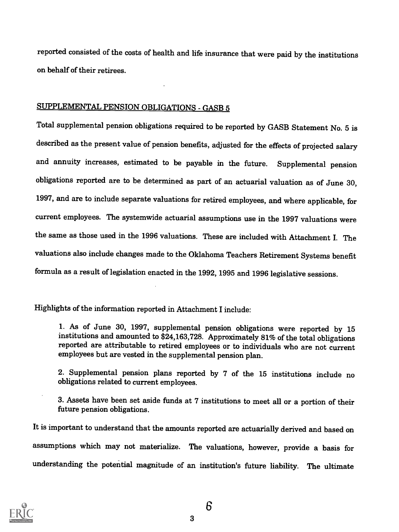reported consisted of the costs of health and life insurance that were paid by the institutions on behalf of their retirees.

#### SUPPLEMENTAL PENSION OBLIGATIONS - GASB 5

Total supplemental pension obligations required to be reported by GASB Statement No. 5 is described as the present value of pension benefits, adjusted for the effects of projected salary and annuity increases, estimated to be payable in the future. Supplemental pension obligations reported are to be determined as part of an actuarial valuation as of June 30, 1997, and are to include separate valuations for retired employees, and where applicable, for current employees. The systemwide actuarial assumptions use in the 1997 valuations were the same as those used in the 1996 valuations. These are included with Attachment I. The valuations also include changes made to the Oklahoma Teachers Retirement Systems benefit formula as a result of legislation enacted in the 1992, 1995 and 1996 legislative sessions.

Highlights of the information reported in Attachment I include:

1. As of June 30, 1997, supplemental pension obligations were reported by 15 institutions and amounted to \$24,163,728. Approximately 81% of the total obligations reported are attributable to retired employees or to individuals who are not current employees but are vested in the supplemental pension plan.

2. Supplemental pension plans reported by 7 of the 15 institutions include no obligations related to current employees.

3. Assets have been set aside funds at 7 institutions to meet all or a portion of their future pension obligations.

It is important to understand that the amounts reported are actuarially derived and based on assumptions which may not materialize. The valuations, however, provide a basis for understanding the potential magnitude of an institution's future liability. The ultimate

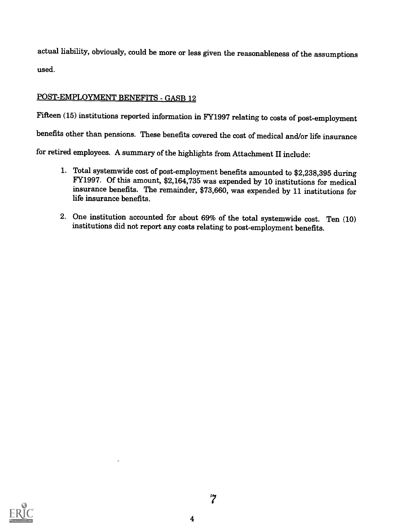actual liability, obviously, could be more or less given the reasonableness of the assumptions used.

#### POST-EMPLOYMENT BENEFITS - GASB 12

Fifteen (15) institutions reported information in FY1997 relating to costs of post-employment

benefits other than pensions. These benefits covered the cost of medical and/or life insurance

for retired employees. A summary of the highlights from Attachment II include:

- 1. Total systemwide cost of post-employment benefits amounted to \$2,238,395 during FY1997. Of this amount, \$2,164,735 was expended by 10 institutions for medical insurance benefits. The remainder, \$73,660, was expended by life insurance benefits.
- 2. One institution accounted for about 69% of the total systemwide cost. Ten (10) institutions did not report any costs relating to post-employment benefits.

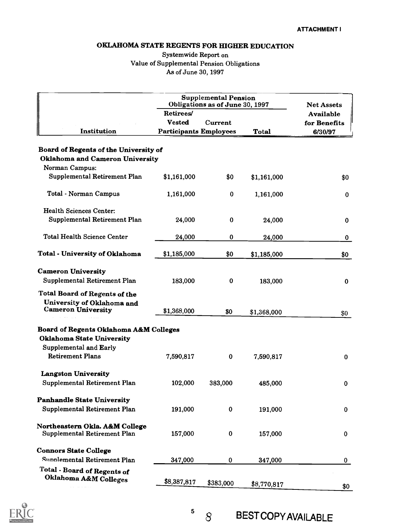#### OKLAHOMA STATE REGENTS FOR HIGHER EDUCATION

#### Systemwide Report on Value of Supplemental Pension Obligations As of June 30, 1997

|                                        | <b>Supplemental Pension</b><br>Obligations as of June 30, 1997 | <b>Net Assets</b> |              |                                  |
|----------------------------------------|----------------------------------------------------------------|-------------------|--------------|----------------------------------|
|                                        | Retirees/<br><b>Vested</b>                                     | Current           |              | <b>Available</b><br>for Benefits |
| Institution                            | <b>Participants Employees</b>                                  |                   | <b>Total</b> | 6/30/97                          |
|                                        |                                                                |                   |              |                                  |
| Board of Regents of the University of  |                                                                |                   |              |                                  |
| <b>Oklahoma and Cameron University</b> |                                                                |                   |              |                                  |
| Norman Campus:                         |                                                                |                   |              |                                  |
| Supplemental Retirement Plan           | \$1,161,000                                                    | \$0               | \$1,161,000  | \$0                              |
| Total - Norman Campus                  | 1,161,000                                                      | 0                 | 1,161,000    | 0                                |
| <b>Health Sciences Center:</b>         |                                                                |                   |              |                                  |
| Supplemental Retirement Plan           | 24,000                                                         | $\bf{0}$          |              |                                  |
|                                        |                                                                |                   | 24,000       | 0                                |
| <b>Total Health Science Center</b>     | 24,000                                                         | 0                 | 24,000       | 0                                |
| <b>Total - University of Oklahoma</b>  | \$1,185,000                                                    | \$0               | \$1,185,000  | \$0                              |
|                                        |                                                                |                   |              |                                  |
| <b>Cameron University</b>              |                                                                |                   |              |                                  |
| Supplemental Retirement Plan           | 183,000                                                        | $\bf{0}$          | 183,000      | 0                                |
| <b>Total Board of Regents of the</b>   |                                                                |                   |              |                                  |
| University of Oklahoma and             |                                                                |                   |              |                                  |
| <b>Cameron University</b>              | \$1,368,000                                                    | \$0               | \$1,368,000  | \$0                              |
| Board of Regents Oklahoma A&M Colleges |                                                                |                   |              |                                  |
| <b>Oklahoma State University</b>       |                                                                |                   |              |                                  |
| Supplemental and Early                 |                                                                |                   |              |                                  |
| <b>Retirement Plans</b>                | 7,590,817                                                      | 0                 | 7,590,817    | $\bf{0}$                         |
|                                        |                                                                |                   |              |                                  |
| <b>Langston University</b>             |                                                                |                   |              |                                  |
| Supplemental Retirement Plan           | 102,000                                                        | 383,000           | 485,000      | $\bf{0}$                         |
| <b>Panhandle State University</b>      |                                                                |                   |              |                                  |
| Supplemental Retirement Plan           | 191,000                                                        | $\bf{0}$          | 191,000      | $\bf{0}$                         |
|                                        |                                                                |                   |              |                                  |
| Northeastern Okla. A&M College         |                                                                |                   |              |                                  |
| Supplemental Retirement Plan           | 157,000                                                        | $\pmb{0}$         | 157,000      | 0                                |
| <b>Connors State College</b>           |                                                                |                   |              |                                  |
| Supplemental Retirement Plan           | 347,000                                                        | $\bf{0}$          | 347,000      | 0                                |
| <b>Total - Board of Regents of</b>     |                                                                |                   |              |                                  |
| Oklahoma A&M Colleges                  | \$8,387,817                                                    | \$383,000         |              |                                  |
|                                        |                                                                |                   | \$8,770,817  | \$0                              |



 $8<sup>°</sup>$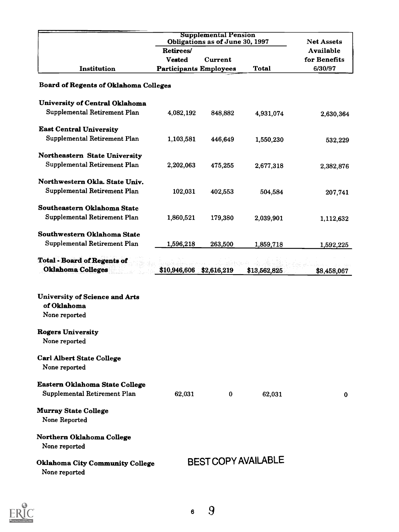|                                                                       | <b>Supplemental Pension</b><br>Obligations as of June 30, 1997 | <b>Net Assets</b>          |              |                  |  |  |
|-----------------------------------------------------------------------|----------------------------------------------------------------|----------------------------|--------------|------------------|--|--|
|                                                                       | Retirees/                                                      |                            |              | <b>Available</b> |  |  |
|                                                                       | <b>Vested</b>                                                  | Current                    |              | for Benefits     |  |  |
| Institution                                                           | <b>Participants Employees</b>                                  |                            | Total        | 6/30/97          |  |  |
| <b>Board of Regents of Oklahoma Colleges</b>                          |                                                                |                            |              |                  |  |  |
| University of Central Oklahoma                                        |                                                                |                            |              |                  |  |  |
| Supplemental Retirement Plan                                          | 4,082,192                                                      | 848,882                    | 4,931,074    | 2,630,364        |  |  |
| <b>East Central University</b>                                        |                                                                |                            |              |                  |  |  |
| Supplemental Retirement Plan                                          | 1,103,581                                                      | 446,649                    | 1,550,230    | 532,229          |  |  |
| Northeastern State University                                         |                                                                |                            |              |                  |  |  |
| Supplemental Retirement Plan                                          | 2,202,063                                                      | 475,255                    | 2,677,318    | 2,382,876        |  |  |
| Northwestern Okla. State Univ.                                        |                                                                |                            |              |                  |  |  |
| Supplemental Retirement Plan                                          | 102,031                                                        | 402,553                    | 504,584      | 207,741          |  |  |
| Southeastern Oklahoma State                                           |                                                                |                            |              |                  |  |  |
| Supplemental Retirement Plan                                          | 1,860,521                                                      | 179,380                    | 2,039,901    | 1,112,632        |  |  |
| Southwestern Oklahoma State                                           |                                                                |                            |              |                  |  |  |
| Supplemental Retirement Plan                                          | 1,596,218                                                      | 263,500                    | 1,859,718    | 1,592,225        |  |  |
| <b>Total - Board of Regents of</b><br><b>Oklahoma Colleges</b>        | \$10,946,606                                                   | \$2,616,219                | \$13,562,825 | \$8,458,067      |  |  |
| <b>University of Science and Arts</b><br>of Oklahoma<br>None reported |                                                                |                            |              |                  |  |  |
| <b>Rogers University</b><br>None reported                             |                                                                |                            |              |                  |  |  |
| <b>Carl Albert State College</b><br>None reported                     |                                                                |                            |              |                  |  |  |
| Eastern Oklahoma State College<br>Supplemental Retirement Plan        | 62,031                                                         | $\bf{0}$                   | 62,031       | $\bf{0}$         |  |  |
| <b>Murray State College</b><br>None Reported                          |                                                                |                            |              |                  |  |  |
| Northern Oklahoma College<br>None reported                            |                                                                |                            |              |                  |  |  |
| <b>Oklahoma City Community College</b><br>None reported               |                                                                | <b>BEST COPY AVAILABLE</b> |              |                  |  |  |

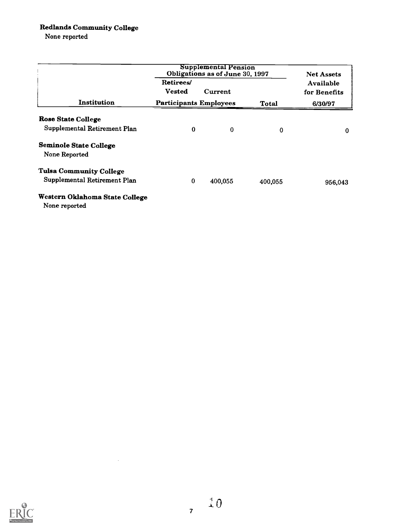#### Redlands Community College

None reported

|                                                 | <b>Supplemental Pension</b><br>Obligations as of June 30, 1997 |          | <b>Net Assets</b> |                           |  |
|-------------------------------------------------|----------------------------------------------------------------|----------|-------------------|---------------------------|--|
|                                                 | Retirees/<br><b>Vested</b>                                     | Current  |                   | Available<br>for Benefits |  |
| Institution                                     | <b>Participants Employees</b>                                  |          | Total             | 6/30/97                   |  |
| <b>Rose State College</b>                       |                                                                |          |                   |                           |  |
| Supplemental Retirement Plan                    | $\bf{0}$                                                       | $\bf{0}$ | $\Omega$          | 0                         |  |
| <b>Seminole State College</b><br>None Reported  |                                                                |          |                   |                           |  |
| <b>Tulsa Community College</b>                  |                                                                |          |                   |                           |  |
| Supplemental Retirement Plan                    | 0                                                              | 400,055  | 400,055           | 956,043                   |  |
| Western Oklahoma State College<br>None reported |                                                                |          |                   |                           |  |



 $\sim$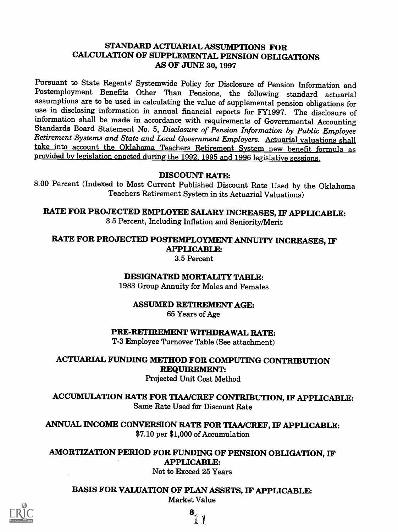#### STANDARD ACTUARIAL ASSUMPTIONS FOR CALCULATION OF SUPPLEMENTAL PENSION OBLIGATIONS AS OF JUNE 30, 1997

Pursuant to State Regents' Systemwide Policy for Disclosure of Pension Information and Postemployment Benefits Other Than Pensions, the following standard actuarial use in disclosing information in annual financial reports for FY1997. The disclosure of information shall be made in accordance with requirements of Governmental Accounting Standards Board Statement No. 5, Disclosure of Pension Information by Public Employee<br>Retirement Systems and State and Local Government Employers. Actuarial valuations shall take into account the Oklahoma Teachers Retirement System new benefit formula as provided by legislation enacted during the 1992, 1995 and 1996 legislative sessions.

#### DISCOUNT RATE:

8.00 Percent (Indexed to Most Current Published Discount Rate Used by the Oklahoma Teachers Retirement System in its Actuarial Valuations)

RATE FOR PROJECTED EMPLOYEE SALARY INCREASES, IF APPLICABLE: 3.5 Percent, Including Inflation and Seniority/Merit

## RATE FOR PROJECTED POSTEMPLOYMENT ANNUITY INCREASES, IF APPLICABLE:

3.5 Percent

## DESIGNATED MORTALITY TABLE:

1983 Group Annuity for Males and Females

#### ASSUMED RETIREMENT AGE: 65 Years of Age

PRE-RETIREMENT WITHDRAWAL RATE:

T-3 Employee Turnover Table (See attachment)

## ACTUARIAL FUNDING METHOD FOR COMPUTING CONTRIBUTION REQUIREMENT:

#### Projected Unit Cost Method

ACCUMULATION RATE FOR TIAA/CREF CONTRIBUTION, IF APPLICABLE: Same Rate Used for Discount Rate

ANNUAL INCOME CONVERSION RATE FOR TIAA/CREF, IF APPLICABLE: \$7.10 per \$1,000 of Accumulation

AMORTIZATION PERIOD FOR FUNDING OF PENSION OBLIGATION, IF APPLICABLE:

Not to Exceed 25 Years

BASIS FOR VALUATION OF PLAN ASSETS, IF APPLICABLE: Market Value



8  $\mathbf{1}$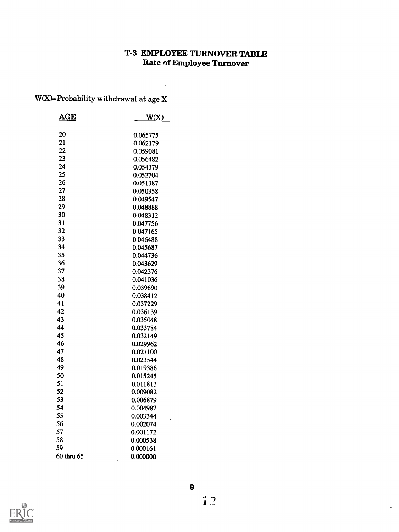## T-3 EMPLOYEE TURNOVER TABLE Rate of Employee Turnover

 $\mathcal{L}^{\text{max}}_{\text{max}}$  and  $\mathcal{L}^{\text{max}}_{\text{max}}$ 

W(X)=Probability withdrawal at age X

| $\mathbf{AGE}$ | W(X)     |
|----------------|----------|
| 20             | 0.065775 |
| 21             | 0.062179 |
| 22             | 0.059081 |
| 23             | 0.056482 |
| 24             | 0.054379 |
| 25             | 0.052704 |
| 26             | 0.051387 |
| 27             | 0.050358 |
| 28             | 0.049547 |
| 29             | 0.048888 |
| 30             | 0.048312 |
| 31             | 0.047756 |
| 32             | 0.047165 |
| 33             | 0.046488 |
| 34             | 0.045687 |
| 35             | 0.044736 |
| 36             | 0.043629 |
| 37             | 0.042376 |
| 38             | 0.041036 |
| 39             | 0.039690 |
| 40             | 0.038412 |
| 41             | 0.037229 |
| 42             | 0.036139 |
| 43             | 0.035048 |
| 44             | 0.033784 |
| 45             | 0.032149 |
| 46             | 0.029962 |
| 47             | 0.027100 |
| 48             | 0.023544 |
| 49             | 0.019386 |
| 50             | 0.015245 |
| 51             | 0.011813 |
| 52             | 0.009082 |
| 53             | 0.006879 |
| 54             | 0.004987 |
| 55             | 0.003344 |
| 56<br>57       | 0.002074 |
| 58             | 0.001172 |
| 59             | 0.000538 |
| 60 thru 65     | 0.000161 |
|                | 0.000000 |



 $\ddot{\phantom{1}}$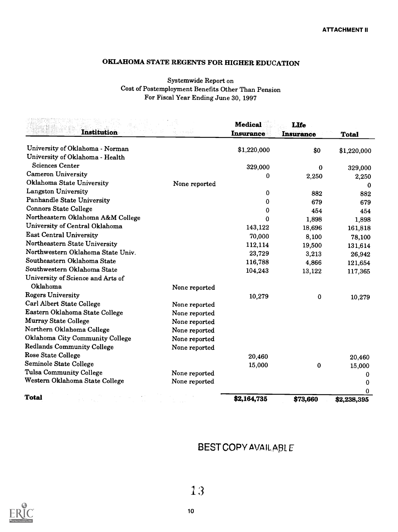## OKLAHOMA STATE REGENTS FOR HIGHER EDUCATION

#### Systemwide Report on Cost of Postemployment Benefits Other Than Pension For Fiscal Year Ending June 30, 1997

| <b>Institution</b>                | e miy         | <b>Medical</b><br><b>Insurance</b> | <b>LIfe</b><br><b>Insurance</b> | <b>Total</b> |
|-----------------------------------|---------------|------------------------------------|---------------------------------|--------------|
| University of Oklahoma - Norman   |               | \$1,220,000                        | \$0                             | \$1,220,000  |
| University of Oklahoma - Health   |               |                                    |                                 |              |
| <b>Sciences Center</b>            |               | 329,000                            | 0                               | 329,000      |
| <b>Cameron University</b>         |               | 0                                  | 2,250                           | 2,250        |
| Oklahoma State University         | None reported |                                    |                                 | 0            |
| <b>Langston University</b>        |               | 0                                  | 882                             | 882          |
| Panhandle State University        |               | $\bf{0}$                           | 679                             | 679          |
| <b>Connors State College</b>      |               | 0                                  | 454                             | 454          |
| Northeastern Oklahoma A&M College |               | $\Omega$                           | 1,898                           | 1,898        |
| University of Central Oklahoma    |               | 143,122                            | 18,696                          | 161,818      |
| <b>East Central University</b>    |               | 70,000                             | 8,100                           | 78,100       |
| Northeastern State University     |               | 112,114                            | 19,500                          | 131,614      |
| Northwestern Oklahoma State Univ. |               | 23,729                             | 3,213                           | 26,942       |
| Southeastern Oklahoma State       |               | 116,788                            | 4,866                           | 121,654      |
| Southwestern Oklahoma State       |               | 104,243                            | 13,122                          | 117,365      |
| University of Science and Arts of |               |                                    |                                 |              |
| Oklahoma                          | None reported |                                    |                                 |              |
| <b>Rogers University</b>          |               | 10,279                             | $\bf{0}$                        | 10,279       |
| Carl Albert State College         | None reported |                                    |                                 |              |
| Eastern Oklahoma State College    | None reported |                                    |                                 |              |
| <b>Murray State College</b>       | None reported |                                    |                                 |              |
| Northern Oklahoma College         | None reported |                                    |                                 |              |
| Oklahoma City Community College   | None reported |                                    |                                 |              |
| <b>Redlands Community College</b> | None reported |                                    |                                 |              |
| <b>Rose State College</b>         |               | 20,460                             |                                 | 20,460       |
| Seminole State College            |               | 15,000                             | $\bf{0}$                        | 15,000       |
| Tulsa Community College           | None reported |                                    |                                 | 0            |
| Western Oklahoma State College    | None reported |                                    |                                 | 0            |
|                                   |               |                                    |                                 | 0            |
| <b>Total</b>                      |               | \$2,164,735                        | \$73,660                        | \$2,238,395  |

## BEST COPY AVAILABLE